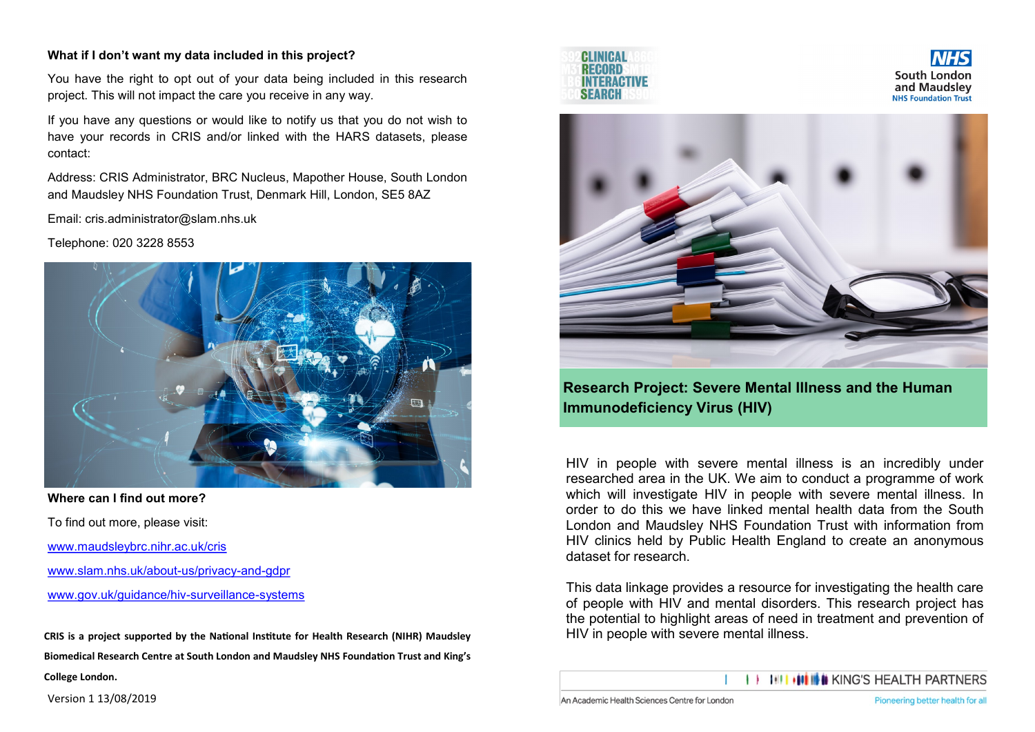# **What if I don't want my data included in this project?**

You have the right to opt out of your data being included in this research project. This will not impact the care you receive in any way.

If you have any questions or would like to notify us that you do not wish to have your records in CRIS and/or linked with the HARS datasets, please contact:

Address: CRIS Administrator, BRC Nucleus, Mapother House, South London and Maudsley NHS Foundation Trust, Denmark Hill, London, SE5 8AZ

Email: cris.administrator@slam.nhs.uk

Telephone: 020 3228 8553



**Where can I find out more?** To find out more, please visit: [www.maudsleybrc.nihr.ac.uk/cris](http://www.maudsleybrc.nihr.ac.uk/cris) [www.slam.nhs.uk/about](http://www.slam.nhs.uk/about-us/privacy-and-gdpr)-us/privacy-and-gdpr

[www.gov.uk/guidance/hiv](https://www.gov.uk/guidance/hiv-surveillance-systems)-surveillance-systems

**CRIS is a project supported by the National Institute for Health Research (NIHR) Maudsley Biomedical Research Centre at South London and Maudsley NHS Foundation Trust and King's College London.** 





**Research Project: Severe Mental Illness and the Human Immunodeficiency Virus (HIV)**

HIV in people with severe mental illness is an incredibly under researched area in the UK. We aim to conduct a programme of work which will investigate HIV in people with severe mental illness. In order to do this we have linked mental health data from the South London and Maudsley NHS Foundation Trust with information from HIV clinics held by Public Health England to create an anonymous dataset for research.

This data linkage provides a resource for investigating the health care of people with HIV and mental disorders. This research project has the potential to highlight areas of need in treatment and prevention of HIV in people with severe mental illness.

**III IIIIII** IIII KING'S HEALTH PARTNERS

Version 1 13/08/2019

South London

and Maudslev

**NHS Foundation Trust**